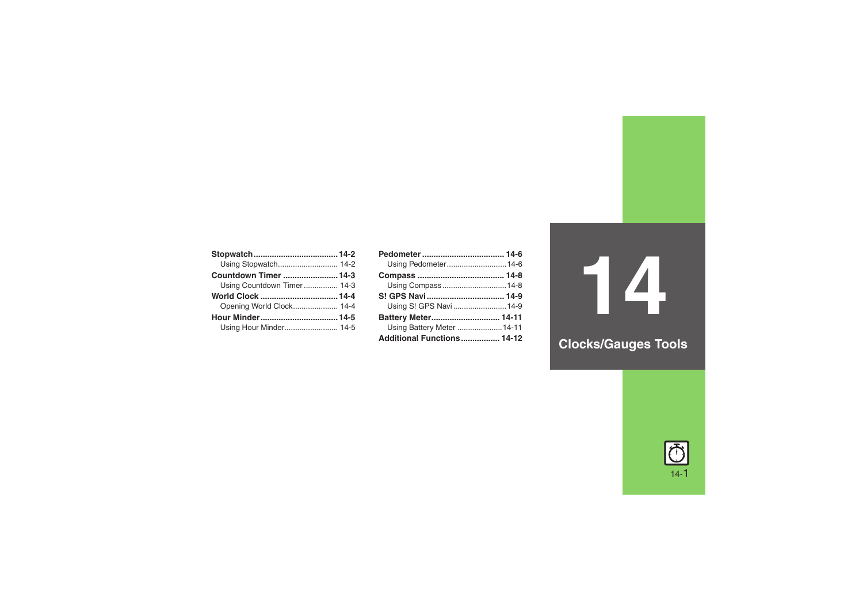| Countdown Timer  14-3      |  |
|----------------------------|--|
| Using Countdown Timer 14-3 |  |
|                            |  |
| Opening World Clock 14-4   |  |
|                            |  |
| Using Hour Minder 14-5     |  |

| Using Pedometer 14-6       |  |
|----------------------------|--|
|                            |  |
| Using Compass14-8          |  |
| S! GPS Navi 14-9           |  |
| Using S! GPS Navi14-9      |  |
| Battery Meter 14-11        |  |
| Using Battery Meter  14-11 |  |
| Additional Functions 14-12 |  |

**14**

# **Clocks/Gauges Tools**

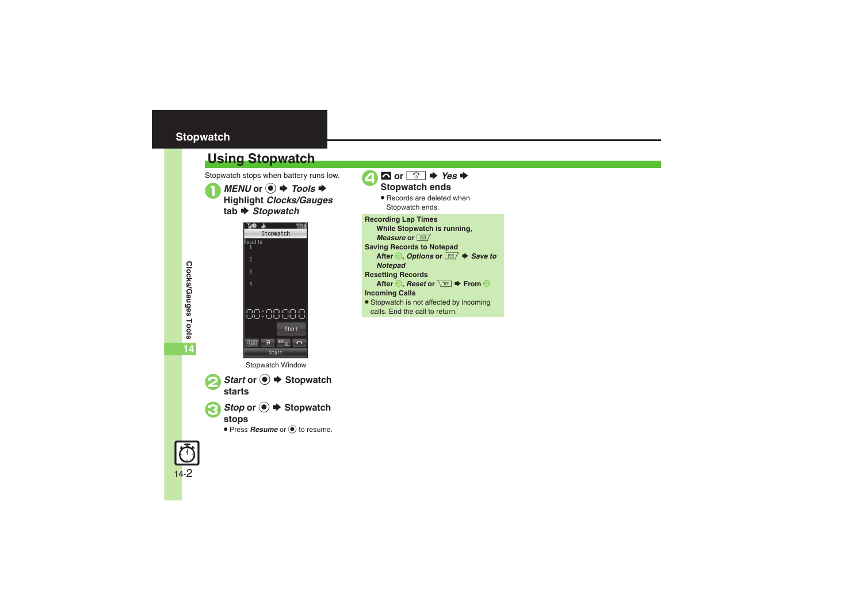# <span id="page-1-0"></span>**Stopwatch**



Stopwatch stops when battery runs low.

<span id="page-1-1"></span>**Using Stopwatch**



*Start* or ●  $\blacktriangleright$  Stopwatch starts

*Stop* or ●  $\blacktriangleright$  Stopwatch stops

**• Press Resume** or  $\odot$  to resume.



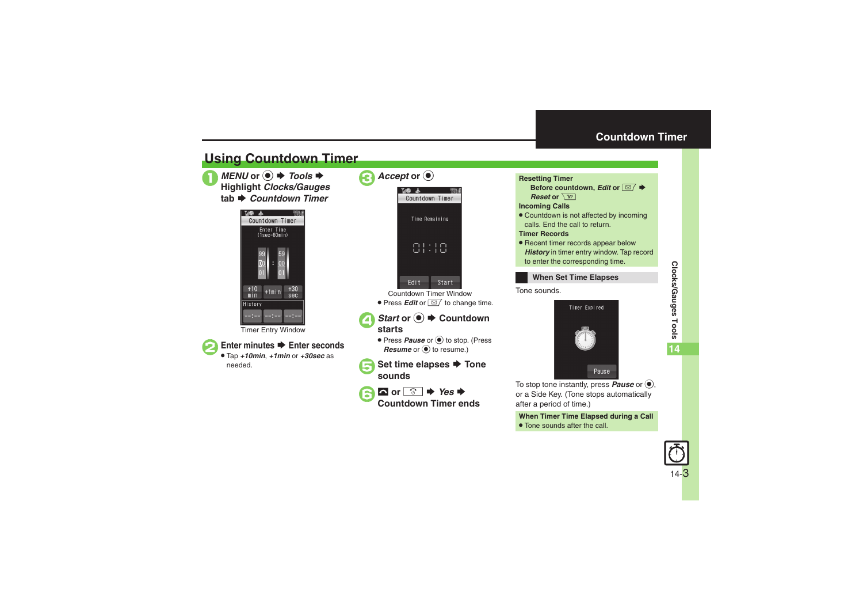# **Countdown Timer**

# <span id="page-2-1"></span>**Using Countdown Timer**

*MENU* or ● **→** *Tools* →<br>Highlight *Clocks/Gauges* tab *♦ Countdown Timer* 



Timer Entry Window



## **Enter minutes**  $\rightarrow$  **Enter seconds**

 Tap *+10min*, *+1min* or *+30sec* as needed.

| Accept or $\odot$             |  |  |
|-------------------------------|--|--|
| MO<br>- 14<br>Countdown Timer |  |  |
| Time Remaining                |  |  |
| 81:18                         |  |  |
| Edit<br>Start                 |  |  |

Countdown Timer Window● Press *Edit* or **■** to change time.

# *Start* or ●  $\blacktriangleright$  Countdown starts

- **Press Pause** or  $\odot$  to stop. (Press *Resume* or  $\odot$  to resume.)
- **Set time elapses → Tone sounds**
- 

 $\Omega$  or  $\boxed{\circ}$   $\Rightarrow$  Yes  $\Rightarrow$  Countdown Timer ends

<span id="page-2-0"></span>



To stop tone instantly, press **Pause** or  $\textcircled{\bullet}$ , or a Side Key. (Tone stops automatically after a period of time.)

**When Timer Time Elapsed during a Call** . Tone sounds after the call.

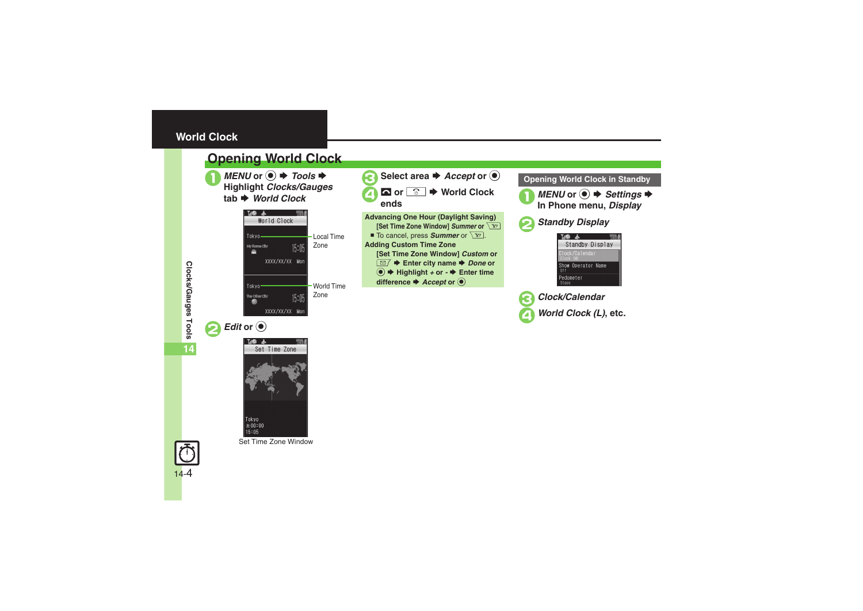# <span id="page-3-0"></span>**World Clock**

# <span id="page-3-1"></span>**Opening World Clock**



*MENU* or ● **→** *Tools* →<br>Highlight *Clocks/Gauges* **tab** S *World Clock*









**Clocks/Gauges Tools**

Clocks/Gauges Tools

**14**

Set Time Zone Window



**Advancing One Hour (Daylight Saving) [Set Time Zone Window] Summer or**  $\boxed{Y}$ ■ To cancel, press **Summer** or  $\boxed{Y}$ . **Adding Custom Time Zone [Set Time Zone Window]** *Custom* **or**  BS **Enter city name** S *Done* **or**   $\textcircled{\textcircled{\textcirc}}$   $\textuparrow$  Highlight *+* or *-*  $\textuparrowright$  Enter time

**difference**  $\blacktriangleright$ *Accept* or  $\textcircled{\tiny{\bullet}}$ 

## **Opening World Clock in Standby**





2*Standby Display*



3*Clock/Calendar* 4*World Clock (L)***, etc.**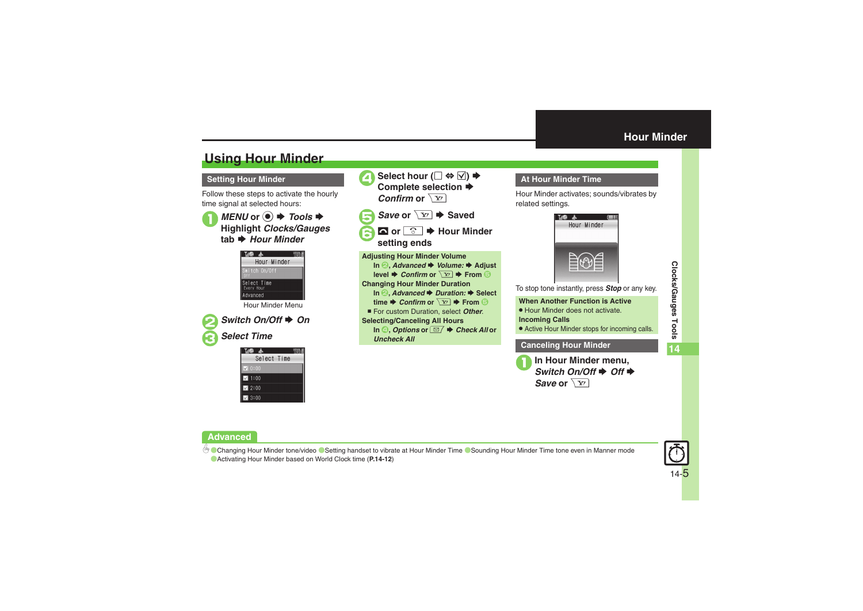# <span id="page-4-1"></span>**Using Hour Minder**

## **Setting Hour Minder**

Follow these steps to activate the hourly time signal at selected hours:





Hour Minder Menu



**2** *Switch On/Off* ♦ *On* 3*Select Time*

| Select Time   |  |
|---------------|--|
| $\times$ 0:00 |  |
| 1:00          |  |
| 2:00          |  |
| 3:00          |  |



## <span id="page-4-0"></span>**At Hour Minder Time**

Hour Minder activates; sounds/vibrates by related settings.



To stop tone instantly, press *Stop* or any key.

### **When Another Function is Active**

. Hour Minder does not activate.

#### **Incoming Calls**

. Active Hour Minder stops for incoming calls.

## **Canceling Hour Minder**

**1** In Hour Minder menu,<br>Switch On/Off ♦ Off ♦ *Save* or  $\sqrt{\mathbf{Y}'}$ 

## **Advanced**

b Ochanging Hour Minder tone/video O[Setting handset to vibrate at Hour Minder Time](#page-11-2) O[Sounding Hour Minder Time tone even in Manner mode](#page-11-3) ([Activating Hour Minder based on World Clock time](#page-11-4) (**[P.14-12](#page-11-1)**)

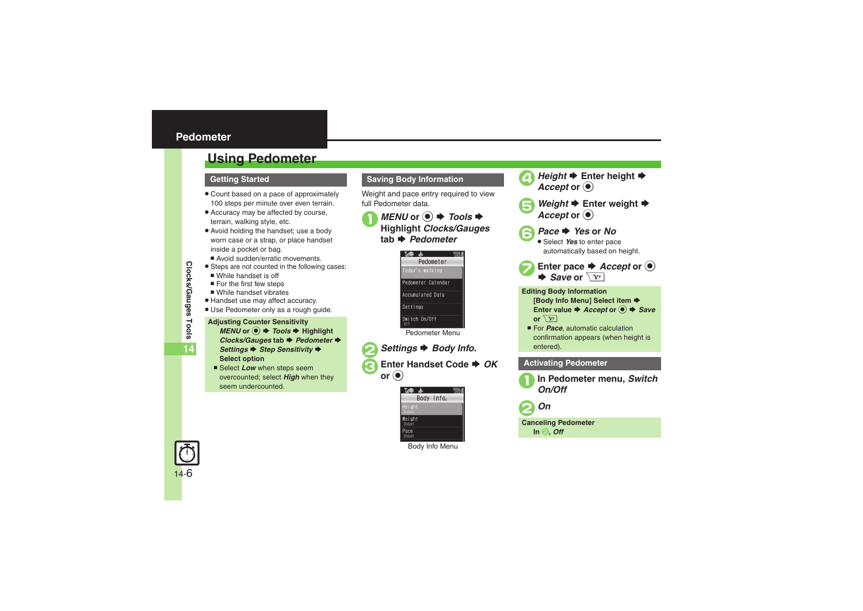# <span id="page-5-1"></span><span id="page-5-0"></span>**Using Pedometer**

## **Getting Started**

- . Count based on a pace of approximately 100 steps per minute over even terrain.
- . Accuracy may be affected by course, terrain, walking style, etc.
- . Avoid holding the handset; use a body worn case or a strap, or place handset inside a pocket or bag.
	- Avoid sudden/erratic movements.
- **•** Steps are not counted in the following cases:
	- $\blacksquare$  While handset is off
	- $\blacksquare$  For the first few steps
	- $\blacksquare$  While handset vibrates
- . Handset use may affect accuracy.
- . Use Pedometer only as a rough guide.

#### **Adjusting Counter Sensitivity**  $MENU$  or  $\textcircled{\textcircled{\textcirc}} \Rightarrow$  *Tools*  $\Rightarrow$  Highlight *Clocks/Gauges* tab ♦ *Pedometer* ♦ *Settings* ♦ *Step Sensitivity* ♦ **Select option**

■ Select *Low* when steps seem overcounted; select *High* when they seem undercounted.

#### **Saving Body Information**

Weight and pace entry required to view full Pedometer data.



# *MENU* or ● *Tools* **→** *Tools* **→ Highlight** *Clocks/Gauges* **tab → Pedometer**



*Settings* ♦ *Body Info.* **Enter Handset Code ♦** *OK* **or**  $\overset{\bullet}{\bullet}$ 



Body Info Menu





### **Editing Body Information [Body Info Menu] Select item**  $\blacktriangleright$ **Enter value ♦ Accept or ● ♦ Save or**  $\sqrt{Y}$

For *Pace*, automatic calculation confirmation appears (when height is entered).

## **Activating Pedometer**





**Canceling Pedometer**

**In** 2**,** *Off*

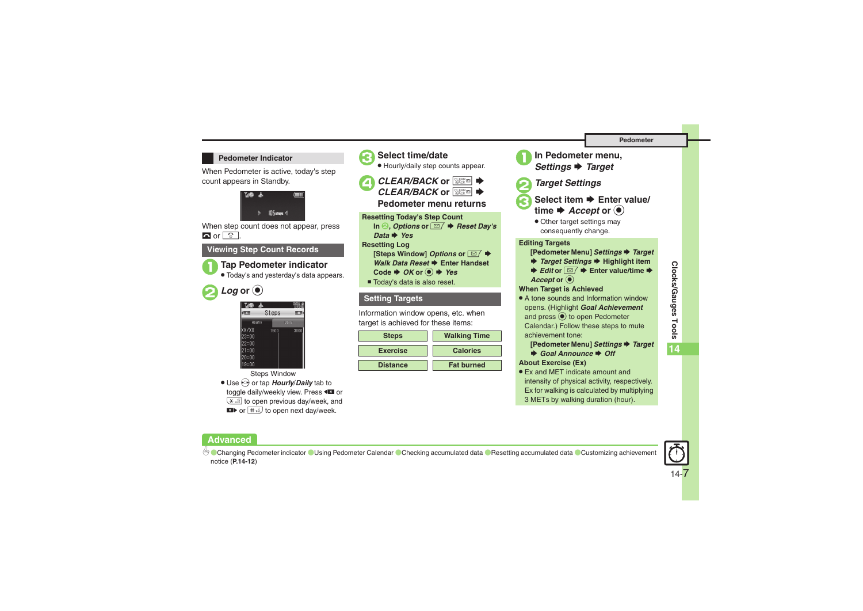### **Pedometer Indicator**

When Pedometer is active, today's step count appears in Standby.



When step count does not appear, press  $\blacksquare$  or  $\boxed{\circ}$ .

## **Viewing Step Count Records**



# 1**Tap Pedometer indicator**

. Today's and yesterday's data appears.



**Advanced**

| <b>Til®</b><br>- 16 |       |       |
|---------------------|-------|-------|
| 聺                   | Steps |       |
| Hourly              |       | Daily |
| XX/XX               | 1500  | 3000  |
| 23:00               |       |       |
| 22:00               |       |       |
| 21:00               |       |       |
| 20:00               |       |       |
| 19:00               |       |       |

Steps Window

● Use so or tap *Hourly/Daily* tab to toggle daily/weekly view. Press <  $\overline{f}$  to open previous day/week, and **ED** or  $\frac{1}{2}$  to open next day/week.



# 3**Select time/date**

. Hourly/daily step counts appear.

**4** *CLEAR/BACK* or **<b>assemble CLEAR/BACK** or **<b>Backm** →

**Pedometer menu returns**

**Resetting Today's Step Count** In *❷, Options or ⊠ → Reset Day's* 

*Data*S *Yes*

**Resetting Log**

- **[Steps Window]** *Options* **or** *⊠* **♦**
- *Walk Data Reset*  $\rightarrow$  **Enter Handset**
- Code  $\blacktriangleright$  *OK* or  $\blacktriangleright$  *Yes*
- $\blacksquare$  Today's data is also reset.

## **Setting Targets**

Information window opens, etc. when target is achieved for these items:

| <b>Steps</b>    | <b>Walking Time</b> |
|-----------------|---------------------|
| <b>Exercise</b> | <b>Calories</b>     |
| <b>Distance</b> | <b>Fat burned</b>   |



**In Pedometer menu,**  $→$  **Target** 



- 2*Target Settings*
- Select item **▶** Enter value/ time  $\blacktriangleright$  *Accept* or  $\textcircled{\small{\bullet}}$ 
	- Other target settings may consequently change.

**Editing Targets**

**[Pedometer Menu]** *Settings* S *Target*

- **→ Target Settings → Highlight item**
- $\blacktriangleright$  **Edit or**  $\boxed{\cong}$  $\blacktriangleright$  **Enter value/time**  $\blacktriangleright$ Accept or  $\odot$

### **When Target is Achieved**

• A tone sounds and Information window opens. (Highlight *Goal Achievement* and press  $\odot$  to open Pedometer Calendar.) Follow these steps to mute achievement tone:

**[Pedometer Menu]** *Settings* S *Target*

◆ Goal Announce ◆ Off

**About Exercise (Ex)**

. Ex and MET indicate amount and intensity of physical activity, respectively. Ex for walking is calculated by multiplying 3 METs by walking duration (hour).



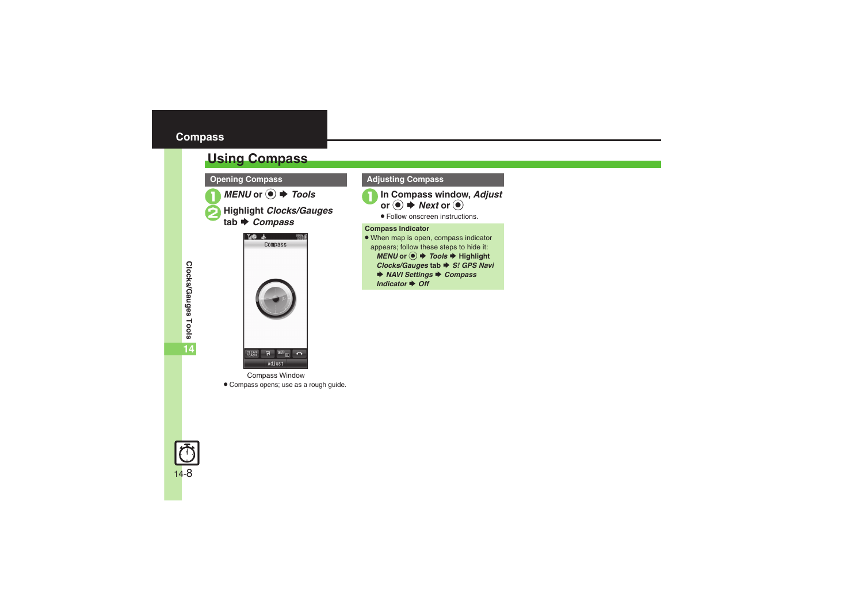# <span id="page-7-1"></span><span id="page-7-0"></span>**Using Compass**



 $MENU$  or  $\odot$   $\blacklozenge$  *Tools* 

 $H$ ighlight *Clocks/Gauges Compass*



Compass Window . Compass opens; use as a rough guide.

## **Opening Compass Compass Adjusting Compass**



. Follow onscreen instructions.

#### **Compass Indicator**

- . When map is open, compass indicator appears; follow these steps to hide it:  $MENU$  or  $\odot$   $\blacktriangleright$  *Tools*  $\blacktriangleright$  Highlight *Clocks/Gauges* **tab** S *S! GPS Navi* **▶ NAVI Settings ▶ Compass** 
	- *Indicator* ♦ Off

**14**

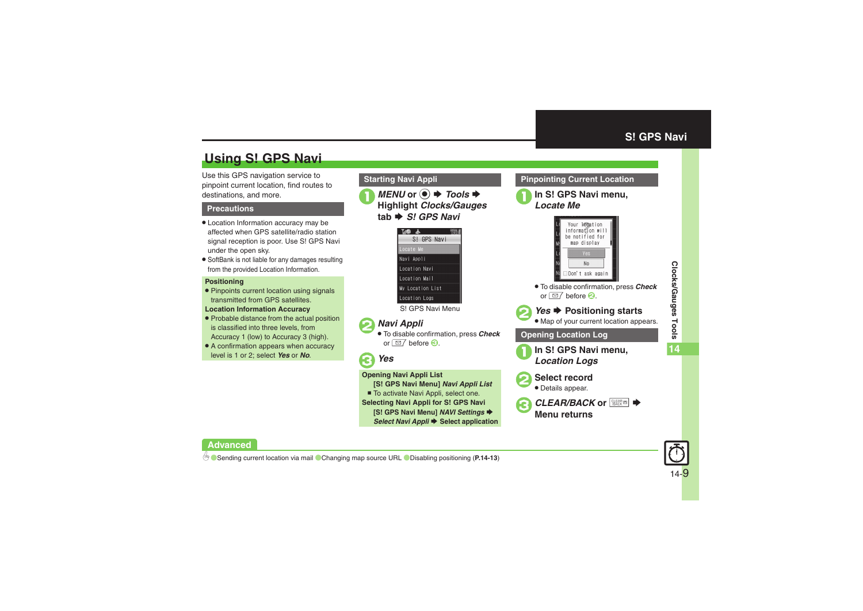# <span id="page-8-1"></span>**Using S! GPS Navi**

Use this GPS navigation service to pinpoint current location, find routes to destinations, and more.

#### **Precautions**

- . Location Information accuracy may be affected when GPS satellite/radio station signal reception is poor. Use S! GPS Navi under the open sky.
- . SoftBank is not liable for any damages resulting from the provided Location Information.

#### **Positioning**

- . Pinpoints current location using signals transmitted from GPS satellites.
- **Location Information Accuracy**
- . Probable distance from the actual position is classified into three levels, from Accuracy 1 (low) to Accuracy 3 (high).
- A confirmation appears when accuracy level is 1 or 2; select *Yes* or *No*.

## **Starting Navi Appli**

**1***MENU* or **●** *Tools* **♦ Highlight** *Clocks/Gauges* **tab** S *S! GPS Navi*



S! GPS Navi Menu

# 2*Navi Appli*

. To disable confirmation, press *Check* or  $\Box$  before  $\odot$ .

# 3*Yes*

#### **Opening Navi Appli List**

- **[S! GPS Navi Menu]** *Navi Appli List*
- To activate Navi Appli, select one.
- **Selecting Navi Appli for S! GPS Navi**

**[S! GPS Navi Menu]** *NAVI Settings* S

*Select Navi Appli* S **Select application**

# 1**In S! GPS Navi menu,** *Locate Me*Your leestion information will

<span id="page-8-0"></span>**Pinpointing Current Location**



. To disable confirmation, press *Check* or  $\Box$  before  $\odot$ .



# **2***Yes* ♦ Positioning starts

. Map of your current location appears.

### **Opening Location Log**

- <sup>1</sup>**In S! GPS Navi menu,** *Location Logs*
- 2**Select record**
	- . Details appear.



**Clocks/Gauges Tools**

Clocks/Gauges Tools

**14**

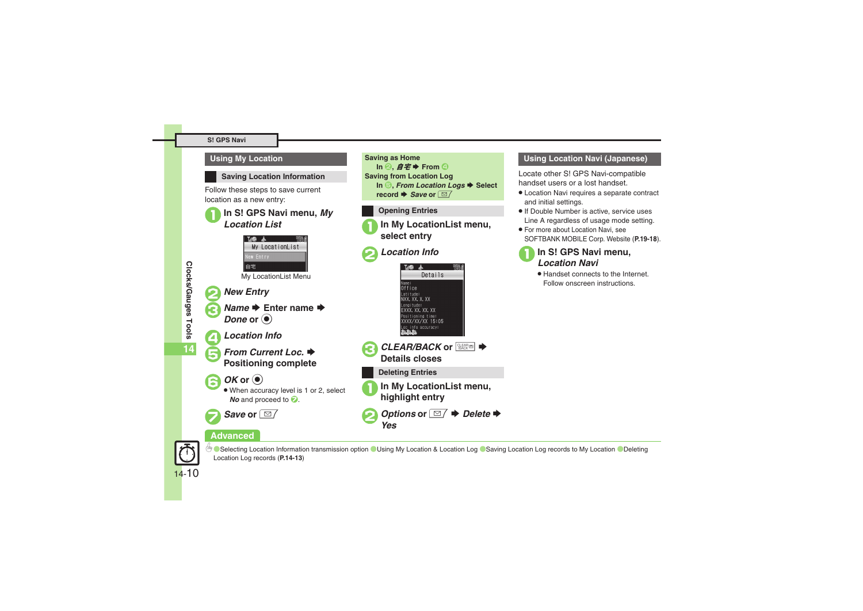### **Using My Location**



**Saving Location Information**

Follow these steps to save current location as a new entry:

# 1**In S! GPS Navi menu,** *My Location List*







**From Current Loc.**  $\blacktriangleright$  **Positioning complete** 



 When accuracy level is 1 or 2, select *No* and proceed to **2**.



## **Advanced**



**Delecting Location Information transmission option C[Using My Location & Location Log](#page-12-4) C[Saving Location Log records to My Location](#page-12-5) CDeleting** [Location Log records](#page-12-6) (**[P.14-13](#page-12-3)**)

### **Saving as Home**  $In$  **2**,  $\cancel{B}$   $\cancel{E}$   $\blacktriangleright$  **From 4 Saving from Location Log In <del>□</del>,** *From Location Logs* $\rightarrow$  **Select** *<u>record ♦ Save or*  $\boxed{\trianglelefteq}$ </u>

## **Opening Entries**

<sup>1</sup>**In My LocationList menu, select entry**

# 2*Location Info*





## **Deleting Entries**

<sup>1</sup>**In My LocationList menu, highlight entry**



## **Using Location Navi (Japanese)**

Locate other S! GPS Navi-compatible handset users or a lost handset.

- . Location Navi requires a separate contract and initial settings.
- . If Double Number is active, service uses Line A regardless of usage mode setting.
- . For more about Location Navi, see SOFTBANK MOBILE Corp. Website (**P.19-18**).



. Handset connects to the Internet. Follow onscreen instructions.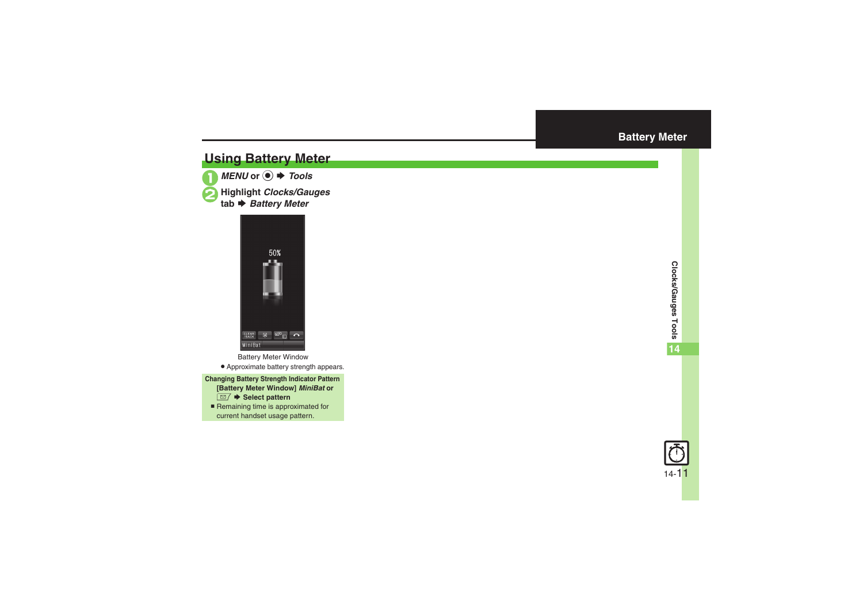# <span id="page-10-1"></span>**Using Battery Meter**



*MENU* or **●** *Tools* 

 $H$ ighlight *Clocks/Gauges Battery Meter*

<span id="page-10-0"></span>

Battery Meter Window

- . Approximate battery strength appears.
- **Changing Battery Strength Indicator Pattern [Battery Meter Window]** *MiniBat* **or**  BS **Select pattern**
	- Remaining time is approximated for current handset usage pattern.

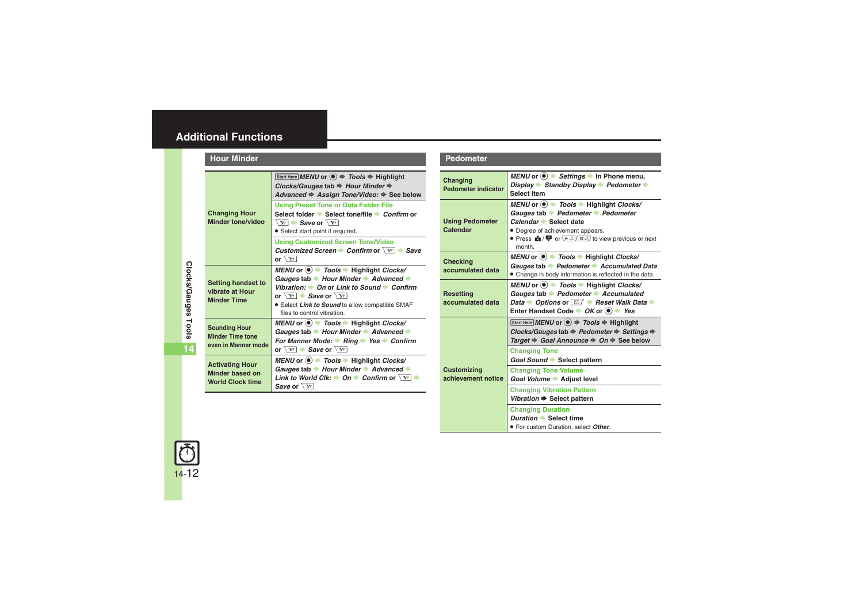<span id="page-11-1"></span><span id="page-11-0"></span>

| <b>Hour Minder</b>                                                     |                                                                                                                                                                                                                                                                                                                                                            |
|------------------------------------------------------------------------|------------------------------------------------------------------------------------------------------------------------------------------------------------------------------------------------------------------------------------------------------------------------------------------------------------------------------------------------------------|
| <b>Changing Hour</b><br>Minder tone/video                              | Start Here MENU or $\textcircled{\textcircled{\textcirc}} \Rightarrow$ Tools $\Rightarrow$ Highlight<br>Clocks/Gauges tab → Hour Minder →<br>Advanced → Assign Tone/Video: → See below                                                                                                                                                                     |
|                                                                        | <b>Using Preset Tone or Data Folder File</b><br>Select folder → Select tone/file → Confirm or<br>$\overline{Y}$ $\rightarrow$ Save or $\overline{Y}$<br>• Select start point if required.                                                                                                                                                                  |
|                                                                        | <b>Using Customized Screen Tone/Video</b><br>Customized Screen Confirm or $\sqrt{Y}$ Save<br>or $\sqrt{Y}$                                                                                                                                                                                                                                                 |
| <b>Setting handset to</b><br>vibrate at Hour<br><b>Minder Time</b>     | $MEM$ or $\odot$ $\rightarrow$ Tools $\rightarrow$ Highlight Clocks/<br>Gauges tab $\rightarrow$ Hour Minder $\rightarrow$ Advanced $\rightarrow$<br>Vibration: $\rightarrow$ On or Link to Sound $\rightarrow$ Confirm<br>or $\sqrt{Y}$ $\rightarrow$ Save or $\sqrt{Y}$<br>· Select Link to Sound to allow compatible SMAF<br>files to control vibration |
| <b>Sounding Hour</b><br><b>Minder Time tone</b><br>even in Manner mode | MENU or $\left( \bullet \right)$ $\Rightarrow$ Tools $\Rightarrow$ Highlight Clocks/<br>Gauges tab → Hour Minder → Advanced →<br>For Manner Mode: $\rightarrow$ Ring $\rightarrow$ Yes $\rightarrow$ Confirm<br>or $\sqrt{Y}$ $\rightarrow$ Save or $\sqrt{Y}$                                                                                             |
| <b>Activating Hour</b><br>Minder based on<br><b>World Clock time</b>   | MENU or $\left( \bullet \right)$ $\Rightarrow$ Tools $\Rightarrow$ Highlight Clocks/<br>Gauges tab → Hour Minder → Advanced →<br>Link to World Clk: $\rightarrow$ On $\rightarrow$ Confirm or $\sqrt{x}$<br>Save or $\sqrt{Y}$                                                                                                                             |

#### **Pedometer**

<span id="page-11-9"></span><span id="page-11-8"></span><span id="page-11-7"></span><span id="page-11-6"></span><span id="page-11-5"></span>

| Changing<br><b>Pedometer indicator</b>   | MENU or $\bullet$ $\bullet$ Settings $\bullet$ In Phone menu,<br>Display Standby Display > Pedometer $\Rightarrow$<br>Select item                                                                                                                                                              |
|------------------------------------------|------------------------------------------------------------------------------------------------------------------------------------------------------------------------------------------------------------------------------------------------------------------------------------------------|
| <b>Using Pedometer</b><br>Calendar       | MENU or $\odot$ $\rightarrow$ Tools $\rightarrow$ Highlight Clocks/<br>Gauges tab → Pedometer → Pedometer<br>Calendar Select date<br>• Degree of achievement appears.<br>• Press $\hat{\mathbf{m}}/\mathbf{P}$ or $\frac{1}{2}$ or $\frac{1}{2}$ to view previous or next<br>month.            |
| <b>Checking</b><br>accumulated data      | MENU or $\odot$ $\rightarrow$ Tools $\rightarrow$ Highlight Clocks/<br>Gauges tab Pedometer Accumulated Data<br>• Change in body information is reflected in the data.                                                                                                                         |
| <b>Resetting</b><br>accumulated data     | MENU or $\bullet$ $\bullet$ Tools $\bullet$ Highlight Clocks/<br>Gauges tab $\rightarrow$ Pedometer $\rightarrow$ Accumulated<br>Data $\rightarrow$ Options or $\boxed{\cong}$ $\rightarrow$ Reset Walk Data $\rightarrow$<br>Enter Handset Code $\rightarrow$ OK or $\odot$ $\rightarrow$ Yes |
| <b>Customizing</b><br>achievement notice | Start Here MENU or $\textcircled{\textcircled{\textcirc}}$ $\Rightarrow$ Tools $\Rightarrow$ Highlight<br>Clocks/Gauges tab → Pedometer → Settings →<br>Target $\Rightarrow$ Goal Announce $\Rightarrow$ On $\Rightarrow$ See below                                                            |
|                                          | <b>Changing Tone</b><br>Goal Sound Select pattern                                                                                                                                                                                                                                              |
|                                          | <b>Changing Tone Volume</b><br>Goal Volume Adjust level                                                                                                                                                                                                                                        |
|                                          | <b>Changing Vibration Pattern</b><br>Vibration → Select pattern                                                                                                                                                                                                                                |
|                                          | <b>Changing Duration</b><br>Duration Select time<br>. For custom Duration, select Other.                                                                                                                                                                                                       |



<span id="page-11-2"></span>**Clocks/Gauges Tools**

<span id="page-11-4"></span><span id="page-11-3"></span>**14**